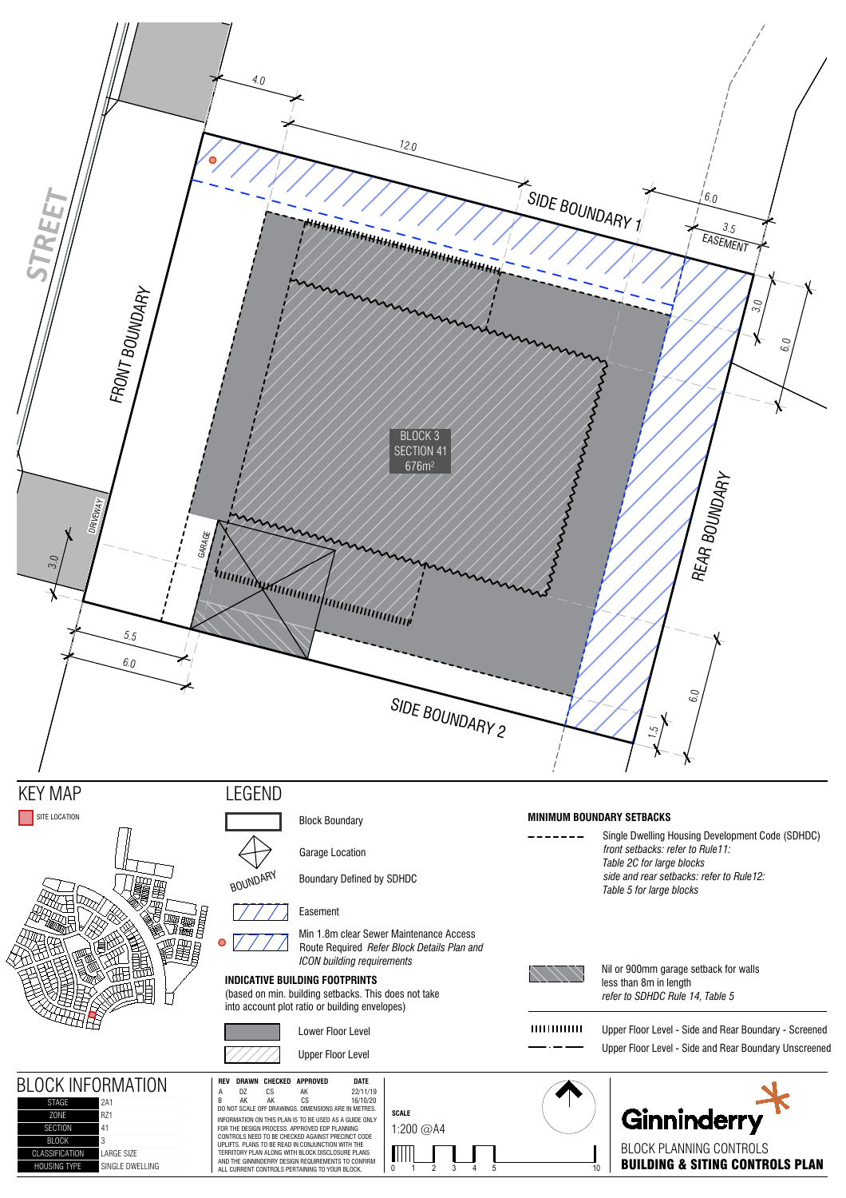